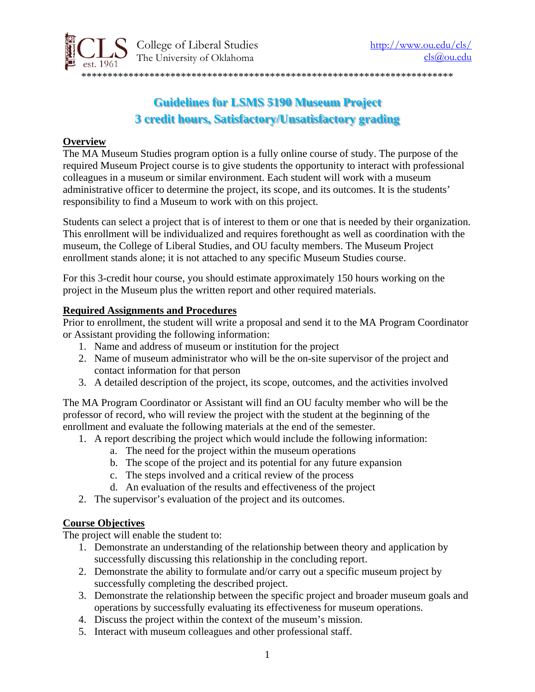

# **Guidelines for LSMS 5190 Museum Project 3 credit hours, Satisfactory/Unsatisfactory grading**

### **Overview**

The MA Museum Studies program option is a fully online course of study. The purpose of the required Museum Project course is to give students the opportunity to interact with professional colleagues in a museum or similar environment. Each student will work with a museum administrative officer to determine the project, its scope, and its outcomes. It is the students' responsibility to find a Museum to work with on this project.

Students can select a project that is of interest to them or one that is needed by their organization. This enrollment will be individualized and requires forethought as well as coordination with the museum, the College of Liberal Studies, and OU faculty members. The Museum Project enrollment stands alone; it is not attached to any specific Museum Studies course.

For this 3-credit hour course, you should estimate approximately 150 hours working on the project in the Museum plus the written report and other required materials.

#### **Required Assignments and Procedures**

Prior to enrollment, the student will write a proposal and send it to the MA Program Coordinator or Assistant providing the following information:

- 1. Name and address of museum or institution for the project
- 2. Name of museum administrator who will be the on-site supervisor of the project and contact information for that person
- 3. A detailed description of the project, its scope, outcomes, and the activities involved

The MA Program Coordinator or Assistant will find an OU faculty member who will be the professor of record, who will review the project with the student at the beginning of the enrollment and evaluate the following materials at the end of the semester.

- 1. A report describing the project which would include the following information:
	- a. The need for the project within the museum operations
	- b. The scope of the project and its potential for any future expansion
	- c. The steps involved and a critical review of the process
	- d. An evaluation of the results and effectiveness of the project
- 2. The supervisor's evaluation of the project and its outcomes.

#### **Course Objectives**

The project will enable the student to:

- 1. Demonstrate an understanding of the relationship between theory and application by successfully discussing this relationship in the concluding report.
- 2. Demonstrate the ability to formulate and/or carry out a specific museum project by successfully completing the described project.
- 3. Demonstrate the relationship between the specific project and broader museum goals and operations by successfully evaluating its effectiveness for museum operations.
- 4. Discuss the project within the context of the museum's mission.
- 5. Interact with museum colleagues and other professional staff.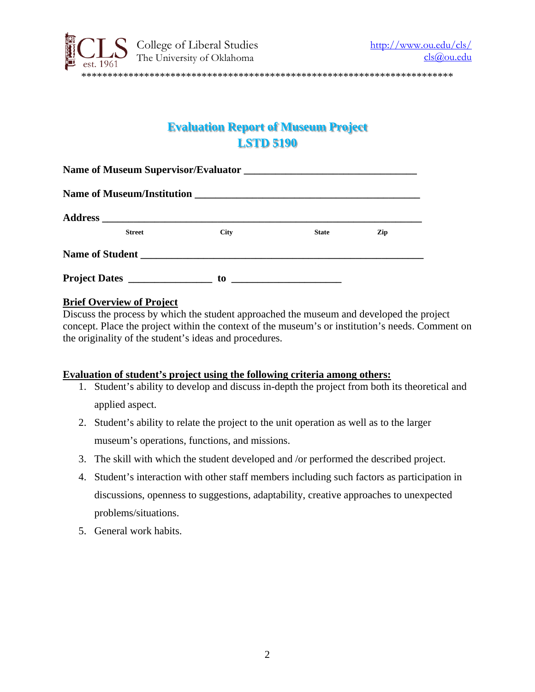

## **Evaluation Report of Museum Project LSTD 5190**

| <b>Street</b>        | <b>City</b> | <b>State</b>                                                                              | Zip |
|----------------------|-------------|-------------------------------------------------------------------------------------------|-----|
|                      |             |                                                                                           |     |
| <b>Project Dates</b> | to          | the control of the control of the control of the control of the control of the control of |     |

#### **Brief Overview of Project**

Discuss the process by which the student approached the museum and developed the project concept. Place the project within the context of the museum's or institution's needs. Comment on the originality of the student's ideas and procedures.

#### **Evaluation of student's project using the following criteria among others:**

- 1. Student's ability to develop and discuss in-depth the project from both its theoretical and applied aspect.
- 2. Student's ability to relate the project to the unit operation as well as to the larger museum's operations, functions, and missions.
- 3. The skill with which the student developed and /or performed the described project.
- 4. Student's interaction with other staff members including such factors as participation in discussions, openness to suggestions, adaptability, creative approaches to unexpected problems/situations.
- 5. General work habits.